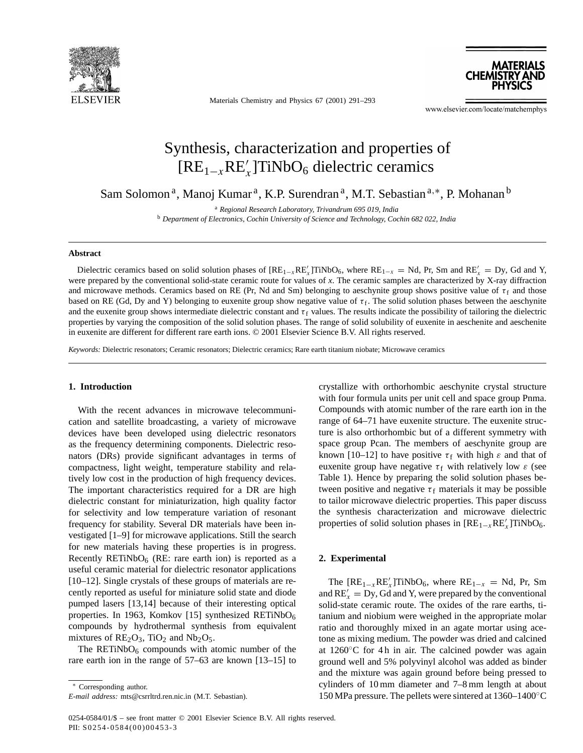

Materials Chemistry and Physics 67 (2001) 291–293

**MATERIALS** CHEMISTRY AI

www.elsevier.com/locate/matchemphys

# Synthesis, characterization and properties of  $[RE_{1-x}RE'_x]$ TiNbO<sub>6</sub> dielectric ceramics

Sam Solomon<sup>a</sup>, Manoj Kumar<sup>a</sup>, K.P. Surendran<sup>a</sup>, M.T. Sebastian<sup>a,∗</sup>, P. Mohanan<sup>b</sup>

<sup>a</sup> *Regional Research Laboratory, Trivandrum 695 019, India* <sup>b</sup> *Department of Electronics, Cochin University of Science and Technology, Cochin 682 022, India*

#### **Abstract**

Dielectric ceramics based on solid solution phases of  $[RE_{1-x}RE'_x]TiNbO_6$ , where  $RE_{1-x} = Nd$ , Pr, Sm and  $RE'_x = Dy$ , Gd and Y, were prepared by the conventional solid-state ceramic route for values of *x*. The ceramic samples are characterized by X-ray diffraction and microwave methods. Ceramics based on RE (Pr, Nd and Sm) belonging to aeschynite group shows positive value of  $\tau_f$  and those based on RE (Gd, Dy and Y) belonging to euxenite group show negative value of  $\tau_f$ . The solid solution phases between the aeschynite and the euxenite group shows intermediate dielectric constant and  $\tau_f$  values. The results indicate the possibility of tailoring the dielectric properties by varying the composition of the solid solution phases. The range of solid solubility of euxenite in aeschenite and aeschenite in euxenite are different for different rare earth ions. © 2001 Elsevier Science B.V. All rights reserved.

*Keywords:* Dielectric resonators; Ceramic resonators; Dielectric ceramics; Rare earth titanium niobate; Microwave ceramics

## **1. Introduction**

With the recent advances in microwave telecommunication and satellite broadcasting, a variety of microwave devices have been developed using dielectric resonators as the frequency determining components. Dielectric resonators (DRs) provide significant advantages in terms of compactness, light weight, temperature stability and relatively low cost in the production of high frequency devices. The important characteristics required for a DR are high dielectric constant for miniaturization, high quality factor for selectivity and low temperature variation of resonant frequency for stability. Several DR materials have been investigated [1–9] for microwave applications. Still the search for new materials having these properties is in progress. Recently RETiNbO<sub>6</sub> (RE: rare earth ion) is reported as a useful ceramic material for dielectric resonator applications [10–12]. Single crystals of these groups of materials are recently reported as useful for miniature solid state and diode pumped lasers [13,14] because of their interesting optical properties. In 1963, Komkov [15] synthesized RETiNbO $_6$ compounds by hydrothermal synthesis from equivalent mixtures of  $RE<sub>2</sub>O<sub>3</sub>$ , TiO<sub>2</sub> and Nb<sub>2</sub>O<sub>5</sub>.

The RETiNbO $_6$  compounds with atomic number of the rare earth ion in the range of 57–63 are known [13–15] to crystallize with orthorhombic aeschynite crystal structure with four formula units per unit cell and space group Pnma. Compounds with atomic number of the rare earth ion in the range of 64–71 have euxenite structure. The euxenite structure is also orthorhombic but of a different symmetry with space group Pcan. The members of aeschynite group are known [10–12] to have positive  $\tau_f$  with high  $\varepsilon$  and that of euxenite group have negative  $\tau_f$  with relatively low  $\varepsilon$  (see Table 1). Hence by preparing the solid solution phases between positive and negative  $\tau_f$  materials it may be possible to tailor microwave dielectric properties. This paper discuss the synthesis characterization and microwave dielectric properties of solid solution phases in  $[RE_{1-x}RE'_x]TiNbO_6$ .

## **2. Experimental**

The  $[RE_{1-x}RE'_x]TiNbO_6$ , where  $RE_{1-x} = Nd$ , Pr, Sm and  $RE'_x = Dy$ , Gd and Y, were prepared by the conventional solid-state ceramic route. The oxides of the rare earths, titanium and niobium were weighed in the appropriate molar ratio and thoroughly mixed in an agate mortar using acetone as mixing medium. The powder was dried and calcined at  $1260°C$  for 4 h in air. The calcined powder was again ground well and 5% polyvinyl alcohol was added as binder and the mixture was again ground before being pressed to cylinders of 10 mm diameter and 7–8 mm length at about 150 MPa pressure. The pellets were sintered at 1360–1400◦C

<sup>∗</sup> Corresponding author. *E-mail address:* mts@csrrltrd.ren.nic.in (M.T. Sebastian).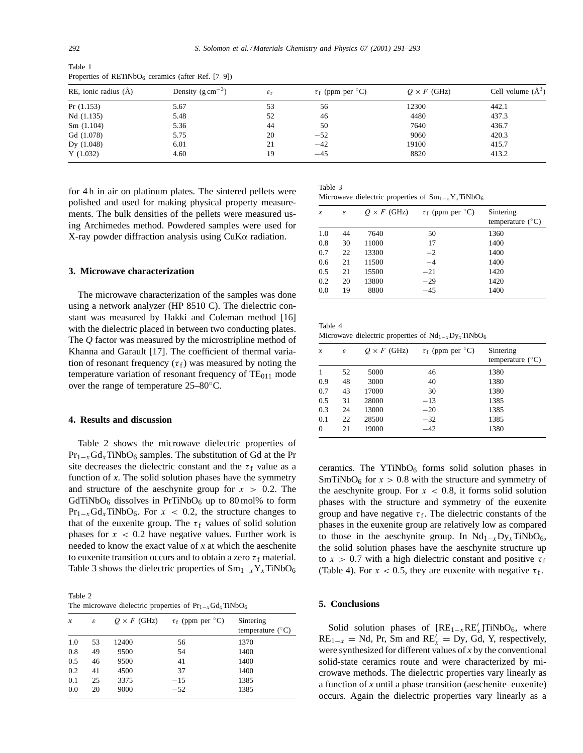Table 1

| $RE$ , ionic radius $(A)$ | Density $(g \text{ cm}^{-3})$ | $\varepsilon_{\rm r}$ | $\tau_f$ (ppm per ${}^{\circ}$ C) | $Q \times F$ (GHz) | Cell volume $(\AA^3)$ |
|---------------------------|-------------------------------|-----------------------|-----------------------------------|--------------------|-----------------------|
| Pr(1.153)                 | 5.67                          | 53                    | 56                                | 12300              | 442.1                 |
| Nd(1.135)                 | 5.48                          | 52                    | 46                                | 4480               | 437.3                 |
| Sm(1.104)                 | 5.36                          | 44                    | 50                                | 7640               | 436.7                 |
| Gd (1.078)                | 5.75                          | 20                    | $-52$                             | 9060               | 420.3                 |
| Dy $(1.048)$              | 6.01                          | 21                    | $-42$                             | 19100              | 415.7                 |
| Y(1.032)                  | 4.60                          | 19                    | $-45$                             | 8820               | 413.2                 |

Properties of RETiNbO $_6$  ceramics (after Ref. [7–9])

for 4 h in air on platinum plates. The sintered pellets were polished and used for making physical property measurements. The bulk densities of the pellets were measured using Archimedes method. Powdered samples were used for X-ray powder diffraction analysis using  $CuK\alpha$  radiation.

#### **3. Microwave characterization**

The microwave characterization of the samples was done using a network analyzer (HP 8510 C). The dielectric constant was measured by Hakki and Coleman method [16] with the dielectric placed in between two conducting plates. The *Q* factor was measured by the microstripline method of Khanna and Garault [17]. The coefficient of thermal variation of resonant frequency ( $\tau_f$ ) was measured by noting the temperature variation of resonant frequency of  $TE<sub>011</sub>$  mode over the range of temperature 25–80◦C.

#### **4. Results and discussion**

Table 2 shows the microwave dielectric properties of  $Pr_{1-x}G_{x}TiNbO_{6}$  samples. The substitution of Gd at the Pr site decreases the dielectric constant and the  $\tau_f$  value as a function of *x*. The solid solution phases have the symmetry and structure of the aeschynite group for  $x > 0.2$ . The  $GdTiNbO<sub>6</sub>$  dissolves in PrTiNbO<sub>6</sub> up to 80 mol% to form  $Pr_{1-x}G_{x}TiNbO_{6}$ . For  $x < 0.2$ , the structure changes to that of the euxenite group. The  $\tau_f$  values of solid solution phases for  $x < 0.2$  have negative values. Further work is needed to know the exact value of *x* at which the aeschenite to euxenite transition occurs and to obtain a zero  $\tau_f$  material. Table 3 shows the dielectric properties of  $Sm_{1-x}Y_xTiNbO_6$ 

Table 2 The microwave dielectric properties of  $Pr_{1-x}Gd_xTiNbO_6$ 

| $\boldsymbol{x}$ | ε  | $Q \times F$ (GHz) | $\tau_f$ (ppm per ${}^{\circ}$ C) | Sintering<br>temperature $(^{\circ}C)$ |
|------------------|----|--------------------|-----------------------------------|----------------------------------------|
| 1.0              | 53 | 12400              | 56                                | 1370                                   |
| 0.8              | 49 | 9500               | 54                                | 1400                                   |
| 0.5              | 46 | 9500               | 41                                | 1400                                   |
| 0.2              | 41 | 4500               | 37                                | 1400                                   |
| 0.1              | 25 | 3375               | $-15$                             | 1385                                   |
| 0.0              | 20 | 9000               | $-52$                             | 1385                                   |

Table 3 Microwave dielectric properties of  $Sm_{1-x}Y_xTiNbO_6$ 

| $\boldsymbol{\mathcal{X}}$ | ε  | $Q \times F$ (GHz) | $\tau_f$ (ppm per ${}^{\circ}C$ ) | Sintering<br>temperature $(^{\circ}C)$ |
|----------------------------|----|--------------------|-----------------------------------|----------------------------------------|
| 1.0                        | 44 | 7640               | 50                                | 1360                                   |
| 0.8                        | 30 | 11000              | 17                                | 1400                                   |
| 0.7                        | 22 | 13300              | $-2$                              | 1400                                   |
| 0.6                        | 21 | 11500              | $-4$                              | 1400                                   |
| 0.5                        | 21 | 15500              | $-21$                             | 1420                                   |
| 0.2                        | 20 | 13800              | $-29$                             | 1420                                   |
| 0.0                        | 19 | 8800               | $-45$                             | 1400                                   |

Table 4 Microwave dielectric properties of  $Nd_{1-x}Dy_xTiNbO_6$ 

| $\boldsymbol{x}$ | ε  | $Q \times F$ (GHz) | $\tau_f$ (ppm per ${}^{\circ}C$ ) | Sintering<br>temperature $(^{\circ}C)$ |
|------------------|----|--------------------|-----------------------------------|----------------------------------------|
|                  | 52 | 5000               | 46                                | 1380                                   |
| 0.9              | 48 | 3000               | 40                                | 1380                                   |
| 0.7              | 43 | 17000              | 30                                | 1380                                   |
| 0.5              | 31 | 28000              | $-13$                             | 1385                                   |
| 0.3              | 24 | 13000              | $-20$                             | 1385                                   |
| 0.1              | 22 | 28500              | $-32$                             | 1385                                   |
| $\theta$         | 21 | 19000              | -42                               | 1380                                   |

ceramics. The  $YTiNbO<sub>6</sub>$  forms solid solution phases in SmTiNbO<sub>6</sub> for  $x > 0.8$  with the structure and symmetry of the aeschynite group. For  $x < 0.8$ , it forms solid solution phases with the structure and symmetry of the euxenite group and have negative  $\tau_f$ . The dielectric constants of the phases in the euxenite group are relatively low as compared to those in the aeschynite group. In  $Nd_{1-x}Dy_xTiNbO_6$ , the solid solution phases have the aeschynite structure up to  $x > 0.7$  with a high dielectric constant and positive  $\tau_f$ (Table 4). For  $x < 0.5$ , they are euxenite with negative  $\tau_f$ .

## **5. Conclusions**

Solid solution phases of  $[RE_{1-x}RE'_x]TiNbO_6$ , where  $RE_{1-x} = Nd$ , Pr, Sm and  $RE'_x = Dy$ , Gd, Y, respectively, were synthesized for different values of *x* by the conventional solid-state ceramics route and were characterized by microwave methods. The dielectric properties vary linearly as a function of *x* until a phase transition (aeschenite–euxenite) occurs. Again the dielectric properties vary linearly as a